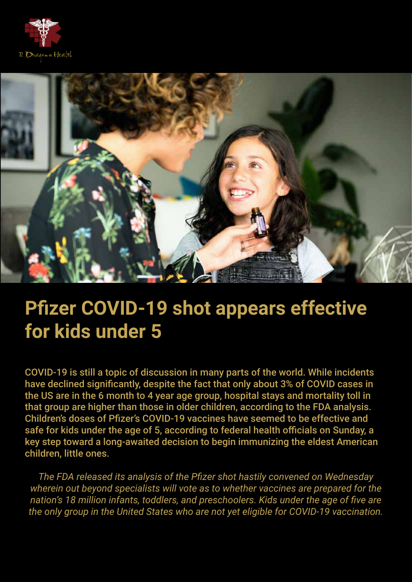



## **Pfizer COVID-19 shot appears effective for kids under 5**

COVID-19 is still a topic of discussion in many parts of the world. While incidents have declined significantly, despite the fact that only about 3% of COVID cases in the US are in the 6 month to 4 year age group, hospital stays and mortality toll in that group are higher than those in older children, according to the FDA analysis. Children's doses of Pfizer's COVID-19 vaccines have seemed to be effective and safe for kids under the age of 5, according to federal health officials on Sunday, a key step toward a long-awaited decision to begin immunizing the eldest American children, little ones.

*The FDA released its analysis of the Pfizer shot hastily convened on Wednesday wherein out beyond specialists will vote as to whether vaccines are prepared for the nation's 18 million infants, toddlers, and preschoolers. Kids under the age of five are the only group in the United States who are not yet eligible for COVID-19 vaccination.*